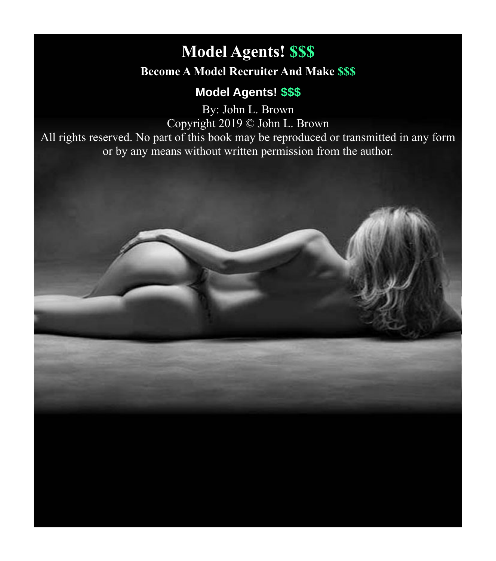# <span id="page-0-0"></span>**Model Agents! \$\$\$ Become A Model Recruiter And Make \$\$\$**

# **Model Agents! \$\$\$**

By: John L. Brown Copyright 2019 © John L. Brown

All rights reserved. No part of this book may be reproduced or transmitted in any form or by any means without written permission from the author.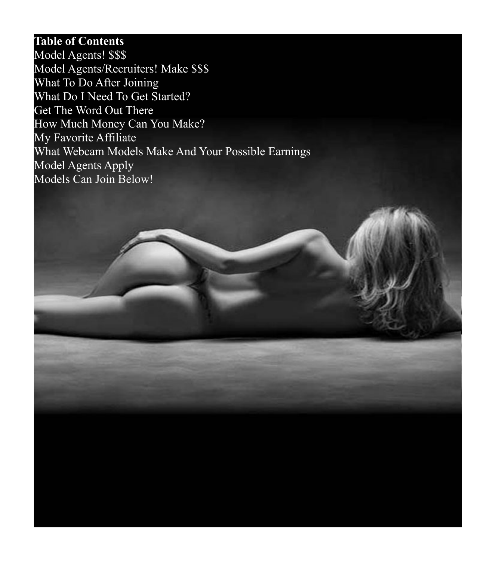### **Table of Contents**

[Model Agents! \\$\\$\\$](#page-0-0) [Model Agents/Recruiters! Make \\$\\$\\$](#page-2-0) [What To Do After Joining](#page-4-0) [What Do I Need To Get Started?](#page-5-0) [Get The Word Out There](#page-6-0) [How Much Money Can You Make?](#page-7-0) [My Favorite Affiliate](#page-8-0) [What Webcam Models Make And Your Possible Earnings](#page-10-0) [Model Agents Apply](#page-11-0) [Models Can Join Below!](#page-12-0)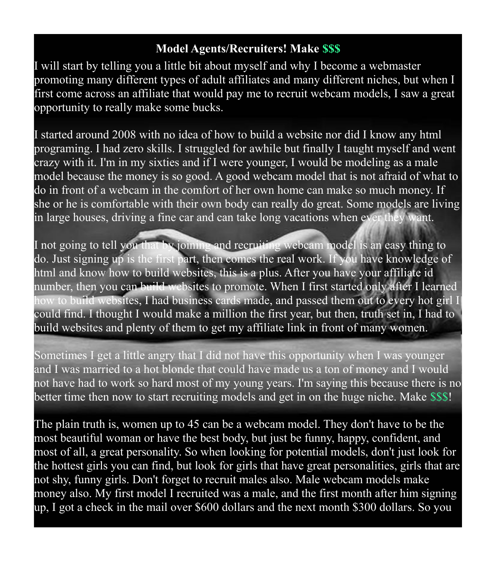## <span id="page-2-0"></span>**Model Agents/Recruiters! Make \$\$\$**

I will start by telling you a little bit about myself and why I become a webmaster promoting many different types of adult affiliates and many different niches, but when I first come across an affiliate that would pay me to recruit webcam models, I saw a great opportunity to really make some bucks.

I started around 2008 with no idea of how to build a website nor did I know any html programing. I had zero skills. I struggled for awhile but finally I taught myself and went crazy with it. I'm in my sixties and if I were younger, I would be modeling as a male model because the money is so good. A good webcam model that is not afraid of what to do in front of a webcam in the comfort of her own home can make so much money. If she or he is comfortable with their own body can really do great. Some models are living in large houses, driving a fine car and can take long vacations when ever they want.

I not going to tell you that by joining and recruiting webcam model is an easy thing to do. Just signing up is the first part, then comes the real work. If you have knowledge of html and know how to build websites, this is a plus. After you have your affiliate id number, then you can build websites to promote. When I first started only after I learned how to build websites, I had business cards made, and passed them out to every hot girl I could find. I thought I would make a million the first year, but then, truth set in, I had to build websites and plenty of them to get my affiliate link in front of many women.

Sometimes I get a little angry that I did not have this opportunity when I was younger and I was married to a hot blonde that could have made us a ton of money and I would not have had to work so hard most of my young years. I'm saying this because there is no better time then now to start recruiting models and get in on the huge niche. Make \$\$\$!

The plain truth is, women up to 45 can be a webcam model. They don't have to be the most beautiful woman or have the best body, but just be funny, happy, confident, and most of all, a great personality. So when looking for potential models, don't just look for the hottest girls you can find, but look for girls that have great personalities, girls that are not shy, funny girls. Don't forget to recruit males also. Male webcam models make money also. My first model I recruited was a male, and the first month after him signing up, I got a check in the mail over \$600 dollars and the next month \$300 dollars. So you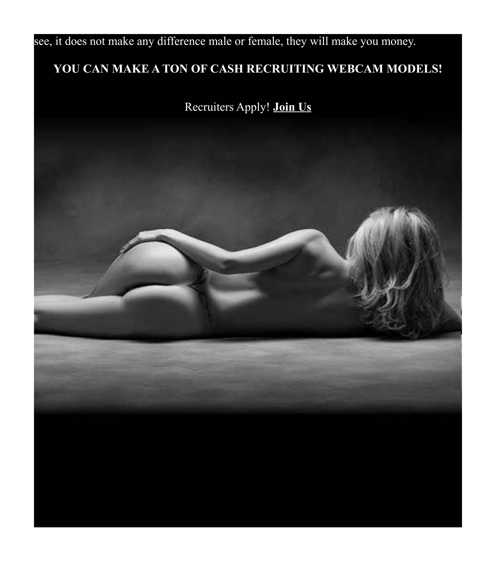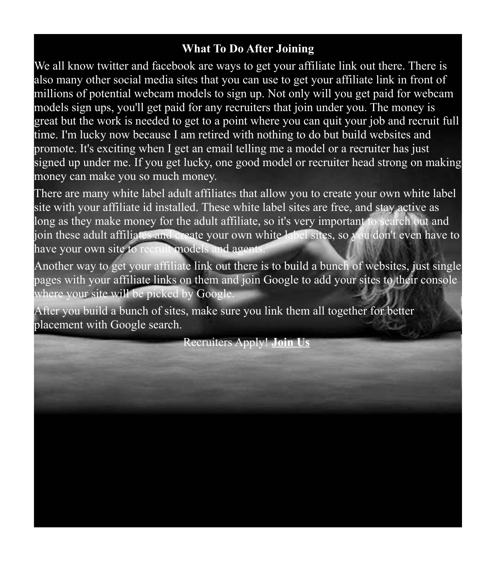# <span id="page-4-0"></span>**What To Do After Joining**

We all know twitter and facebook are ways to get your affiliate link out there. There is also many other social media sites that you can use to get your affiliate link in front of millions of potential webcam models to sign up. Not only will you get paid for webcam models sign ups, you'll get paid for any recruiters that join under you. The money is great but the work is needed to get to a point where you can quit your job and recruit full time. I'm lucky now because I am retired with nothing to do but build websites and promote. It's exciting when I get an email telling me a model or a recruiter has just signed up under me. If you get lucky, one good model or recruiter head strong on making money can make you so much money.

There are many white label adult affiliates that allow you to create your own white label site with your affiliate id installed. These white label sites are free, and stay active as long as they make money for the adult affiliate, so it's very important to search out and join these adult affiliates and create your own white label sites, so you don't even have to have your own site to recruit models and agents.

Another way to get your affiliate link out there is to build a bunch of websites, just single pages with your affiliate links on them and join Google to add your sites to their console where your site will be picked by Google.

After you build a bunch of sites, make sure you link them all together for better placement with Google search.

Recruiters Apply! **[Join Us](http://www.internetmodeling.com/144/become_an_agent.htm)**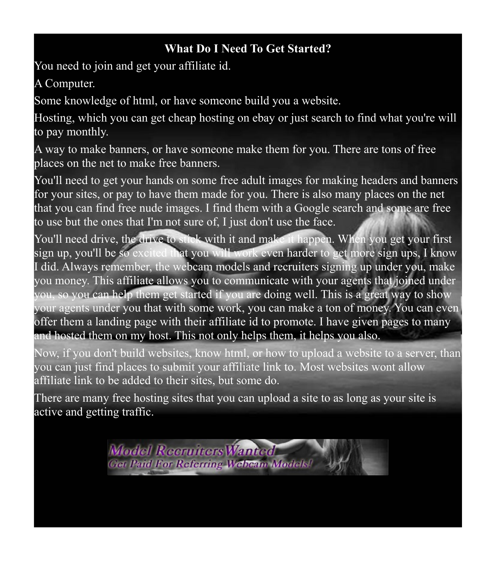# <span id="page-5-0"></span>**What Do I Need To Get Started?**

You need to join and get your affiliate id.

A Computer.

Some knowledge of html, or have someone build you a website.

Hosting, which you can get cheap hosting on ebay or just search to find what you're will to pay monthly.

A way to make banners, or have someone make them for you. There are tons of free places on the net to make free banners.

You'll need to get your hands on some free adult images for making headers and banners for your sites, or pay to have them made for you. There is also many places on the net that you can find free nude images. I find them with a Google search and some are free to use but the ones that I'm not sure of, I just don't use the face.

You'll need drive, the drive to stick with it and make it happen. When you get your first sign up, you'll be so excited that you will work even harder to get more sign ups, I know I did. Always remember, the webcam models and recruiters signing up under you, make you money. This affiliate allows you to communicate with your agents that joined under you, so you can help them get started if you are doing well. This is a great way to show your agents under you that with some work, you can make a ton of money. You can even offer them a landing page with their affiliate id to promote. I have given pages to many and hosted them on my host. This not only helps them, it helps you also.

Now, if you don't build websites, know html, or how to upload a website to a server, than you can just find places to submit your affiliate link to. Most websites wont allow affiliate link to be added to their sites, but some do.

There are many free hosting sites that you can upload a site to as long as your site is active and getting traffic.

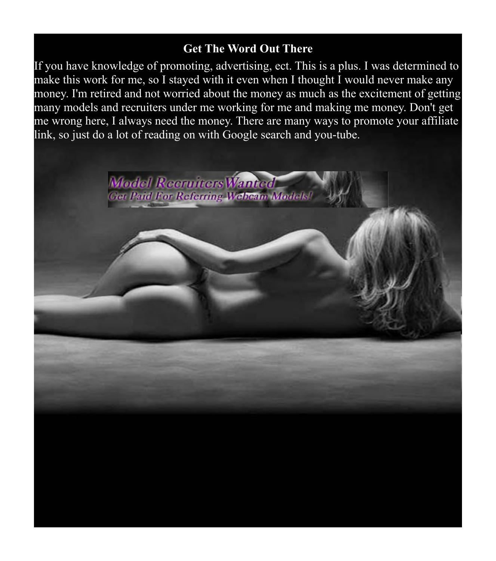#### <span id="page-6-0"></span>**Get The Word Out There**

If you have knowledge of promoting, advertising, ect. This is a plus. I was determined to make this work for me, so I stayed with it even when I thought I would never make any money. I'm retired and not worried about the money as much as the excitement of getting many models and recruiters under me working for me and making me money. Don't get me wrong here, I always need the money. There are many ways to promote your affiliate link, so just do a lot of reading on with Google search and you-tube.

Model Recruiters Wanted

**Get Paid For Referring Webcam Models**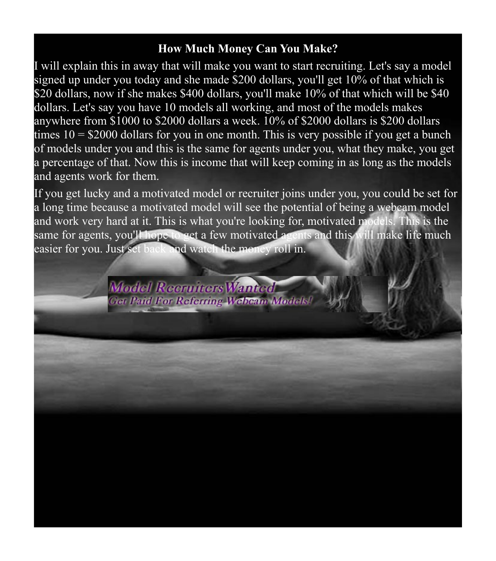#### <span id="page-7-0"></span>**How Much Money Can You Make?**

I will explain this in away that will make you want to start recruiting. Let's say a model signed up under you today and she made \$200 dollars, you'll get 10% of that which is \$20 dollars, now if she makes \$400 dollars, you'll make 10% of that which will be \$40 dollars. Let's say you have 10 models all working, and most of the models makes anywhere from \$1000 to \$2000 dollars a week. 10% of \$2000 dollars is \$200 dollars times  $10 = $2000$  dollars for you in one month. This is very possible if you get a bunch of models under you and this is the same for agents under you, what they make, you get a percentage of that. Now this is income that will keep coming in as long as the models and agents work for them.

If you get lucky and a motivated model or recruiter joins under you, you could be set for a long time because a motivated model will see the potential of being a webcam model and work very hard at it. This is what you're looking for, motivated models. This is the same for agents, you'll hope to get a few motivated agents and this will make life much easier for you. Just set back and watch the money roll in.

> **Model Recruiters Wanted Get Paid For Referring Webcam Models!**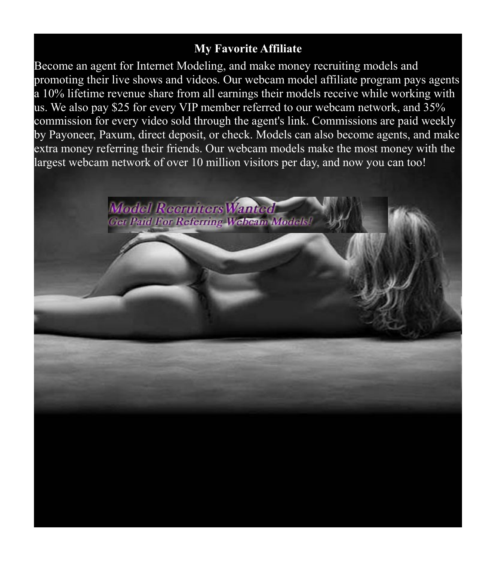#### <span id="page-8-0"></span>**My Favorite Affiliate**

Become an agent for Internet Modeling, and make money recruiting models and promoting their live shows and videos. Our webcam model affiliate program pays agents a 10% lifetime revenue share from all earnings their models receive while working with us. We also pay \$25 for every VIP member referred to our webcam network, and 35% commission for every video sold through the agent's link. Commissions are paid weekly by Payoneer, Paxum, direct deposit, or check. Models can also become agents, and make extra money referring their friends. Our webcam models make the most money with the largest webcam network of over 10 million visitors per day, and now you can too!

> **Model Recruiters Wanted Get Paid For Referring Webcam Models**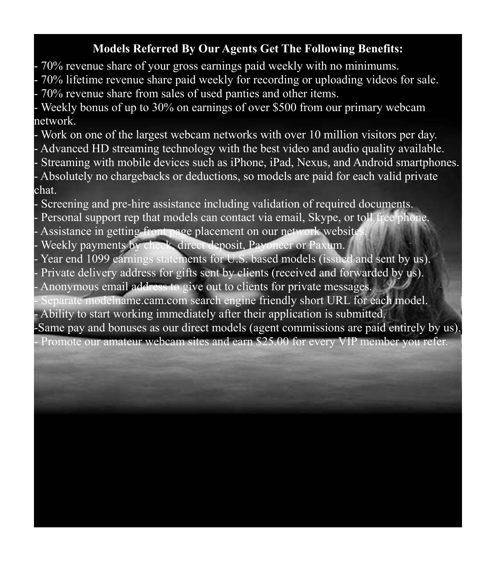# **Models Referred By Our Agents Get The Following Benefits:**

- 70% revenue share of your gross earnings paid weekly with no minimums.

- 70% lifetime revenue share paid weekly for recording or uploading videos for sale. - 70% revenue share from sales of used panties and other items.

Weekly bonus of up to 30% on earnings of over \$500 from our primary webcam network.

- Work on one of the largest webcam networks with over 10 million visitors per day. - Advanced HD streaming technology with the best video and audio quality available. Streaming with mobile devices such as iPhone, iPad, Nexus, and Android smartphones. Absolutely no chargebacks or deductions, so models are paid for each valid private chat.

Screening and pre-hire assistance including validation of required documents.

- Personal support rep that models can contact via email, Skype, or toll free phone. Assistance in getting front page placement on our network website

Weekly payments by check, direct deposit, Payoneer or Paxum.

- Year end 1099 earnings statements for U.S. based models (issued and sent by us). Private delivery address for gifts sent by clients (received and forwarded by us).

Anonymous email address to give out to clients for private messages.

Separate modelname.cam.com search engine friendly short URL for each model. - Ability to start working immediately after their application is submitted.

-Same pay and bonuses as our direct models (agent commissions are paid entirely by us). Promote our amateur webcam sites and earn \$25.00 for every VIP member you refer.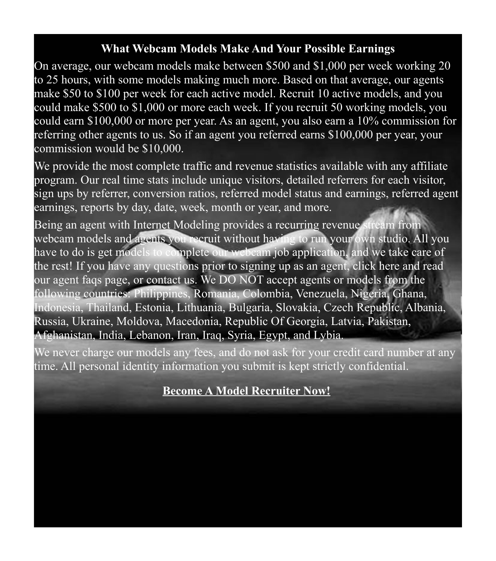#### <span id="page-10-0"></span>**What Webcam Models Make And Your Possible Earnings**

On average, our webcam models make between \$500 and \$1,000 per week working 20 to 25 hours, with some models making much more. Based on that average, our agents make \$50 to \$100 per week for each active model. Recruit 10 active models, and you could make \$500 to \$1,000 or more each week. If you recruit 50 working models, you could earn \$100,000 or more per year. As an agent, you also earn a 10% commission for referring other agents to us. So if an agent you referred earns \$100,000 per year, your commission would be \$10,000.

We provide the most complete traffic and revenue statistics available with any affiliate program. Our real time stats include unique visitors, detailed referrers for each visitor, sign ups by referrer, conversion ratios, referred model status and earnings, referred agent earnings, reports by day, date, week, month or year, and more.

Being an agent with Internet Modeling provides a recurring revenue stream from webcam models and agents you recruit without having to run your own studio. All you have to do is get models to complete our webcam job application, and we take care of the rest! If you have any questions prior to signing up as an agent, click here and read our agent faqs page, or contact us. We DO NOT accept agents or models from the following countries: Philippines, Romania, Colombia, Venezuela, Nigeria, Ghana, Indonesia, Thailand, Estonia, Lithuania, Bulgaria, Slovakia, Czech Republic, Albania, Russia, Ukraine, Moldova, Macedonia, Republic Of Georgia, Latvia, Pakistan, Afghanistan, India, Lebanon, Iran, Iraq, Syria, Egypt, and Lybia.

We never charge our models any fees, and do not ask for your credit card number at any time. All personal identity information you submit is kept strictly confidential.

# **[Become A Model Recruiter Now!](http://www.internetmodeling.com/144/become_an_agent.htm)**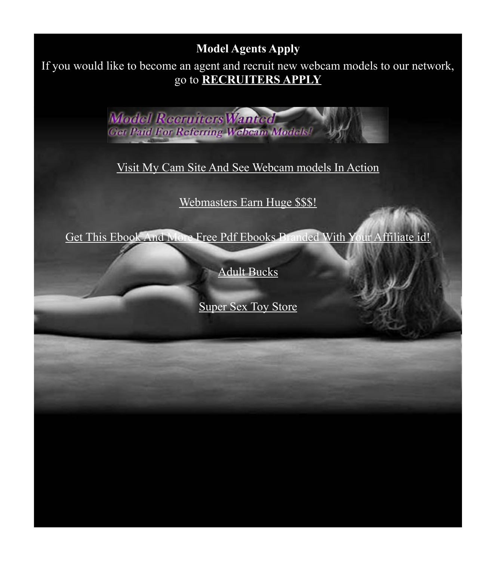# <span id="page-11-0"></span>**Model Agents Apply**

If you would like to become an agent and recruit new webcam models to our network, go to **[RECRUITERS APPLY](http://www.internetmodeling.com/144/become_an_agent.htm)**

> **Model Recruiters Wanted Get Paid For Referring Webcam Models!**

[Visit My Cam Site And See Webcam models In Action](http://www.camcamcams.lsl.com/)

[Webmasters Earn Huge \\$\\$\\$!](http://www.awempire.com/?referral_rs=john4953&psprogram=wmref&pstool=1_40327)

[Get This Ebook And More Free Pdf Ebooks Branded With Your Affiliate id!](http://www.theviralmonsters.com/)

[Adult Bucks](http://www.adultbucks.us/)

**[Super Sex Toy Store](http://store.sextoys.sex-superstore.com/cgi-share/index.cgi?af=30331)**